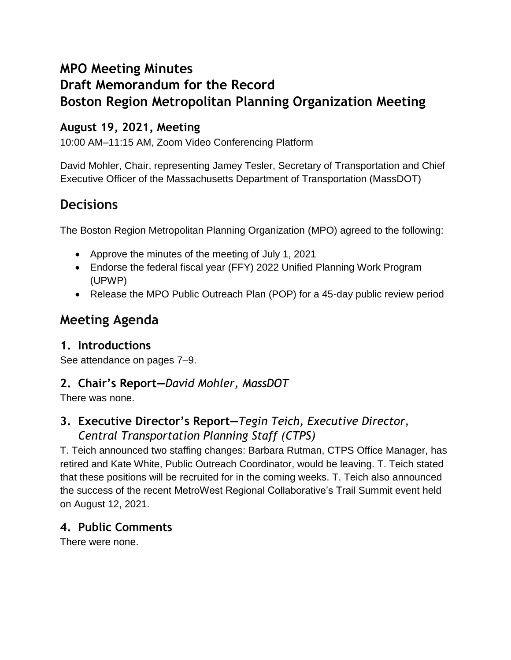# **MPO Meeting Minutes**

# **Draft Memorandum for the Record Boston Region Metropolitan Planning Organization Meeting**

# **August 19, 2021, Meeting**

10:00 AM–11:15 AM, Zoom Video Conferencing Platform

David Mohler, Chair, representing Jamey Tesler, Secretary of Transportation and Chief Executive Officer of the Massachusetts Department of Transportation (MassDOT)

# **Decisions**

The Boston Region Metropolitan Planning Organization (MPO) agreed to the following:

- Approve the minutes of the meeting of July 1, 2021
- Endorse the federal fiscal year (FFY) 2022 Unified Planning Work Program (UPWP)
- Release the MPO Public Outreach Plan (POP) for a 45-day public review period

# **Meeting Agenda**

# **1. Introductions**

See attendance on pages 7–9.

# **2. Chair's Report—***David Mohler, MassDOT*

There was none.

# **3. Executive Director's Report—***Tegin Teich, Executive Director, Central Transportation Planning Staff (CTPS)*

T. Teich announced two staffing changes: Barbara Rutman, CTPS Office Manager, has retired and Kate White, Public Outreach Coordinator, would be leaving. T. Teich stated that these positions will be recruited for in the coming weeks. T. Teich also announced the success of the recent MetroWest Regional Collaborative's Trail Summit event held on August 12, 2021.

# **4. Public Comments**

There were none.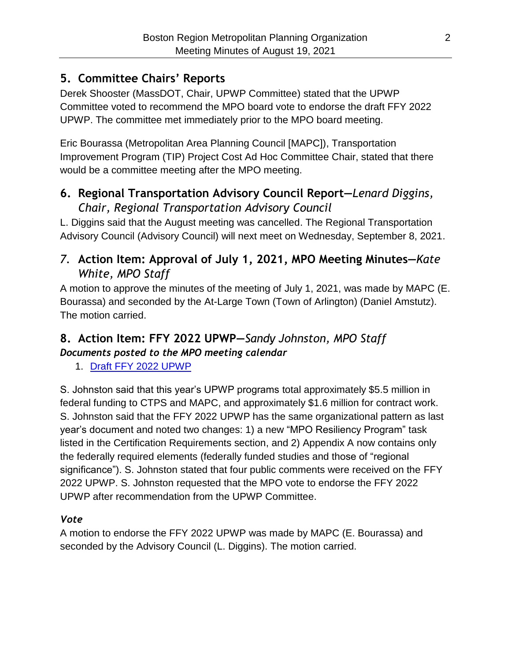# **5. Committee Chairs' Reports**

Derek Shooster (MassDOT, Chair, UPWP Committee) stated that the UPWP Committee voted to recommend the MPO board vote to endorse the draft FFY 2022 UPWP. The committee met immediately prior to the MPO board meeting.

Eric Bourassa (Metropolitan Area Planning Council [MAPC]), Transportation Improvement Program (TIP) Project Cost Ad Hoc Committee Chair, stated that there would be a committee meeting after the MPO meeting.

# **6. Regional Transportation Advisory Council Report—***Lenard Diggins, Chair, Regional Transportation Advisory Council*

L. Diggins said that the August meeting was cancelled. The Regional Transportation Advisory Council (Advisory Council) will next meet on Wednesday, September 8, 2021.

# *7.* **Action Item: Approval of July 1, 2021, MPO Meeting Minutes—***Kate White, MPO Staff*

A motion to approve the minutes of the meeting of July 1, 2021, was made by MAPC (E. Bourassa) and seconded by the At-Large Town (Town of Arlington) (Daniel Amstutz). The motion carried.

# **8. Action Item: FFY 2022 UPWP—***Sandy Johnston, MPO Staff Documents posted to the MPO meeting calendar*

1. [Draft FFY 2022 UPWP](https://www.ctps.org/data/calendar/pdfs/2021/MPO_0715_Draft_FFY22_UPWP.pdf)

S. Johnston said that this year's UPWP programs total approximately \$5.5 million in federal funding to CTPS and MAPC, and approximately \$1.6 million for contract work. S. Johnston said that the FFY 2022 UPWP has the same organizational pattern as last year's document and noted two changes: 1) a new "MPO Resiliency Program" task listed in the Certification Requirements section, and 2) Appendix A now contains only the federally required elements (federally funded studies and those of "regional significance"). S. Johnston stated that four public comments were received on the FFY 2022 UPWP. S. Johnston requested that the MPO vote to endorse the FFY 2022 UPWP after recommendation from the UPWP Committee.

### *Vote*

A motion to endorse the FFY 2022 UPWP was made by MAPC (E. Bourassa) and seconded by the Advisory Council (L. Diggins). The motion carried.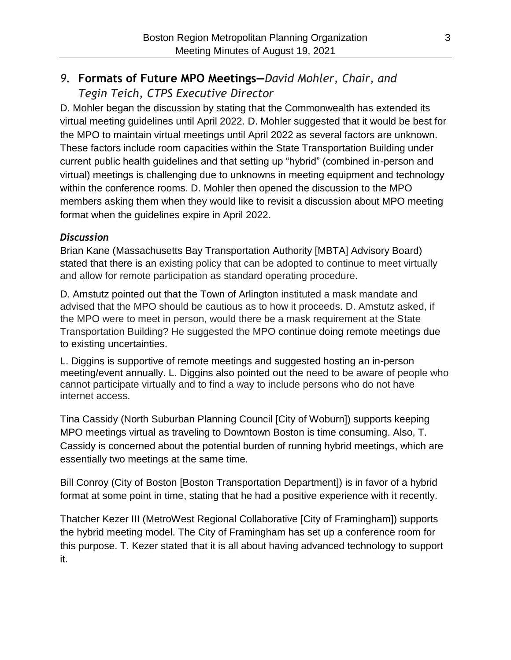# *9.* **Formats of Future MPO Meetings—***David Mohler, Chair, and Tegin Teich, CTPS Executive Director*

D. Mohler began the discussion by stating that the Commonwealth has extended its virtual meeting guidelines until April 2022. D. Mohler suggested that it would be best for the MPO to maintain virtual meetings until April 2022 as several factors are unknown. These factors include room capacities within the State Transportation Building under current public health guidelines and that setting up "hybrid" (combined in-person and virtual) meetings is challenging due to unknowns in meeting equipment and technology within the conference rooms. D. Mohler then opened the discussion to the MPO members asking them when they would like to revisit a discussion about MPO meeting format when the guidelines expire in April 2022.

#### *Discussion*

Brian Kane (Massachusetts Bay Transportation Authority [MBTA] Advisory Board) stated that there is an existing policy that can be adopted to continue to meet virtually and allow for remote participation as standard operating procedure.

D. Amstutz pointed out that the Town of Arlington instituted a mask mandate and advised that the MPO should be cautious as to how it proceeds. D. Amstutz asked, if the MPO were to meet in person, would there be a mask requirement at the State Transportation Building? He suggested the MPO continue doing remote meetings due to existing uncertainties.

L. Diggins is supportive of remote meetings and suggested hosting an in-person meeting/event annually. L. Diggins also pointed out the need to be aware of people who cannot participate virtually and to find a way to include persons who do not have internet access.

Tina Cassidy (North Suburban Planning Council [City of Woburn]) supports keeping MPO meetings virtual as traveling to Downtown Boston is time consuming. Also, T. Cassidy is concerned about the potential burden of running hybrid meetings, which are essentially two meetings at the same time.

Bill Conroy (City of Boston [Boston Transportation Department]) is in favor of a hybrid format at some point in time, stating that he had a positive experience with it recently.

Thatcher Kezer III (MetroWest Regional Collaborative [City of Framingham]) supports the hybrid meeting model. The City of Framingham has set up a conference room for this purpose. T. Kezer stated that it is all about having advanced technology to support it.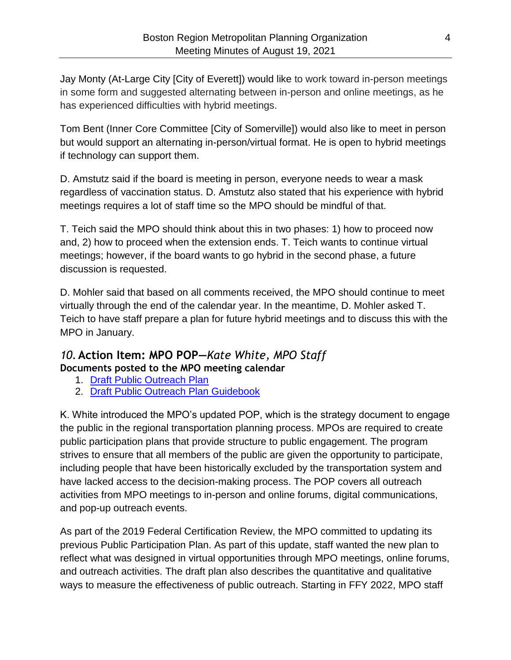Jay Monty (At-Large City [City of Everett]) would like to work toward in-person meetings in some form and suggested alternating between in-person and online meetings, as he has experienced difficulties with hybrid meetings.

Tom Bent (Inner Core Committee [City of Somerville]) would also like to meet in person but would support an alternating in-person/virtual format. He is open to hybrid meetings if technology can support them.

D. Amstutz said if the board is meeting in person, everyone needs to wear a mask regardless of vaccination status. D. Amstutz also stated that his experience with hybrid meetings requires a lot of staff time so the MPO should be mindful of that.

T. Teich said the MPO should think about this in two phases: 1) how to proceed now and, 2) how to proceed when the extension ends. T. Teich wants to continue virtual meetings; however, if the board wants to go hybrid in the second phase, a future discussion is requested.

D. Mohler said that based on all comments received, the MPO should continue to meet virtually through the end of the calendar year. In the meantime, D. Mohler asked T. Teich to have staff prepare a plan for future hybrid meetings and to discuss this with the MPO in January.

#### *10.***Action Item: MPO POP—***Kate White, MPO Staff* **Documents posted to the MPO meeting calendar**

- 1. [Draft Public Outreach Plan](https://www.ctps.org/data/calendar/pdfs/2021/MPO_0819_Draft_POP_2021.pdf)
- 2. [Draft Public Outreach Plan Guidebook](https://www.ctps.org/data/calendar/pdfs/2021/MPO_0819_POP_Guidebook_2021.pdf)

K. White introduced the MPO's updated POP, which is the strategy document to engage the public in the regional transportation planning process. MPOs are required to create public participation plans that provide structure to public engagement. The program strives to ensure that all members of the public are given the opportunity to participate, including people that have been historically excluded by the transportation system and have lacked access to the decision-making process. The POP covers all outreach activities from MPO meetings to in-person and online forums, digital communications, and pop-up outreach events.

As part of the 2019 Federal Certification Review, the MPO committed to updating its previous Public Participation Plan. As part of this update, staff wanted the new plan to reflect what was designed in virtual opportunities through MPO meetings, online forums, and outreach activities. The draft plan also describes the quantitative and qualitative ways to measure the effectiveness of public outreach. Starting in FFY 2022, MPO staff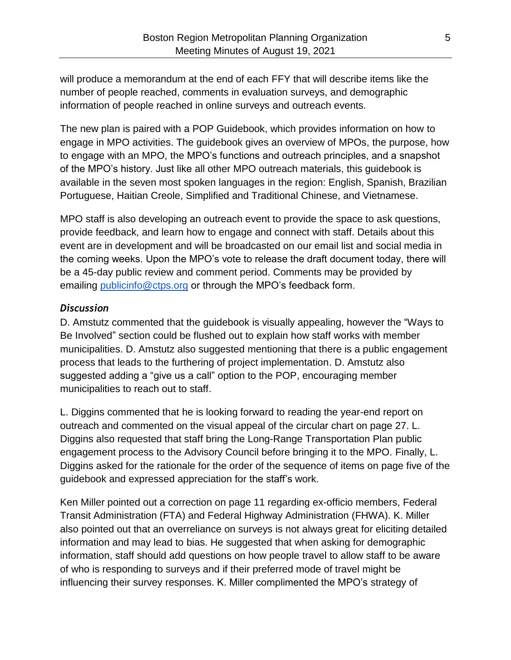will produce a memorandum at the end of each FFY that will describe items like the number of people reached, comments in evaluation surveys, and demographic information of people reached in online surveys and outreach events.

The new plan is paired with a POP Guidebook, which provides information on how to engage in MPO activities. The guidebook gives an overview of MPOs, the purpose, how to engage with an MPO, the MPO's functions and outreach principles, and a snapshot of the MPO's history. Just like all other MPO outreach materials, this guidebook is available in the seven most spoken languages in the region: English, Spanish, Brazilian Portuguese, Haitian Creole, Simplified and Traditional Chinese, and Vietnamese.

MPO staff is also developing an outreach event to provide the space to ask questions, provide feedback, and learn how to engage and connect with staff. Details about this event are in development and will be broadcasted on our email list and social media in the coming weeks. Upon the MPO's vote to release the draft document today, there will be a 45-day public review and comment period. Comments may be provided by emailing [publicinfo@ctps.org](mailto:publicinfo@ctps.org) or through the MPO's feedback form.

#### *Discussion*

D. Amstutz commented that the guidebook is visually appealing, however the "Ways to Be Involved" section could be flushed out to explain how staff works with member municipalities. D. Amstutz also suggested mentioning that there is a public engagement process that leads to the furthering of project implementation. D. Amstutz also suggested adding a "give us a call" option to the POP, encouraging member municipalities to reach out to staff.

L. Diggins commented that he is looking forward to reading the year-end report on outreach and commented on the visual appeal of the circular chart on page 27. L. Diggins also requested that staff bring the Long-Range Transportation Plan public engagement process to the Advisory Council before bringing it to the MPO. Finally, L. Diggins asked for the rationale for the order of the sequence of items on page five of the guidebook and expressed appreciation for the staff's work.

Ken Miller pointed out a correction on page 11 regarding ex-officio members, Federal Transit Administration (FTA) and Federal Highway Administration (FHWA). K. Miller also pointed out that an overreliance on surveys is not always great for eliciting detailed information and may lead to bias. He suggested that when asking for demographic information, staff should add questions on how people travel to allow staff to be aware of who is responding to surveys and if their preferred mode of travel might be influencing their survey responses. K. Miller complimented the MPO's strategy of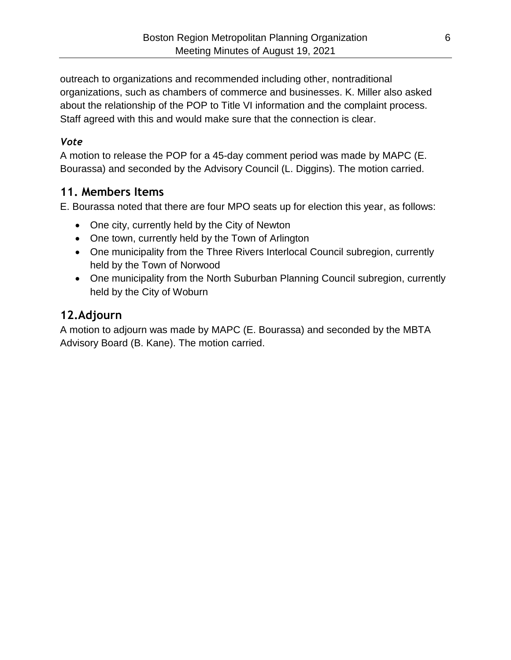outreach to organizations and recommended including other, nontraditional organizations, such as chambers of commerce and businesses. K. Miller also asked about the relationship of the POP to Title VI information and the complaint process. Staff agreed with this and would make sure that the connection is clear.

### *Vote*

A motion to release the POP for a 45-day comment period was made by MAPC (E. Bourassa) and seconded by the Advisory Council (L. Diggins). The motion carried.

### **11. Members Items**

E. Bourassa noted that there are four MPO seats up for election this year, as follows:

- One city, currently held by the City of Newton
- One town, currently held by the Town of Arlington
- One municipality from the Three Rivers Interlocal Council subregion, currently held by the Town of Norwood
- One municipality from the North Suburban Planning Council subregion, currently held by the City of Woburn

# **12.Adjourn**

A motion to adjourn was made by MAPC (E. Bourassa) and seconded by the MBTA Advisory Board (B. Kane). The motion carried.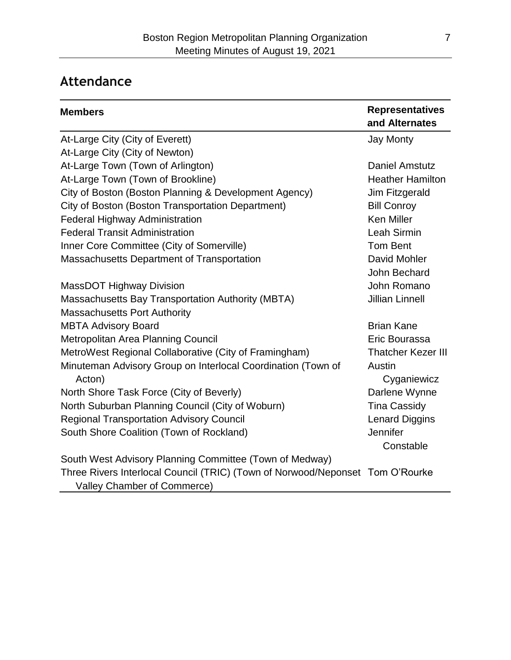# **Attendance**

| <b>Members</b>                                                                                               | <b>Representatives</b><br>and Alternates |
|--------------------------------------------------------------------------------------------------------------|------------------------------------------|
| At-Large City (City of Everett)                                                                              | <b>Jay Monty</b>                         |
| At-Large City (City of Newton)                                                                               |                                          |
| At-Large Town (Town of Arlington)                                                                            | <b>Daniel Amstutz</b>                    |
| At-Large Town (Town of Brookline)                                                                            | <b>Heather Hamilton</b>                  |
| City of Boston (Boston Planning & Development Agency)                                                        | Jim Fitzgerald                           |
| City of Boston (Boston Transportation Department)                                                            | <b>Bill Conroy</b>                       |
| <b>Federal Highway Administration</b>                                                                        | <b>Ken Miller</b>                        |
| <b>Federal Transit Administration</b>                                                                        | Leah Sirmin                              |
| Inner Core Committee (City of Somerville)                                                                    | <b>Tom Bent</b>                          |
| <b>Massachusetts Department of Transportation</b>                                                            | David Mohler                             |
|                                                                                                              | John Bechard                             |
| <b>MassDOT Highway Division</b>                                                                              | John Romano                              |
| <b>Massachusetts Bay Transportation Authority (MBTA)</b>                                                     | <b>Jillian Linnell</b>                   |
| <b>Massachusetts Port Authority</b>                                                                          |                                          |
| <b>MBTA Advisory Board</b>                                                                                   | <b>Brian Kane</b>                        |
| Metropolitan Area Planning Council                                                                           | Eric Bourassa                            |
| MetroWest Regional Collaborative (City of Framingham)                                                        | <b>Thatcher Kezer III</b>                |
| Minuteman Advisory Group on Interlocal Coordination (Town of                                                 | Austin                                   |
| Acton)                                                                                                       | Cyganiewicz                              |
| North Shore Task Force (City of Beverly)                                                                     | Darlene Wynne                            |
| North Suburban Planning Council (City of Woburn)                                                             | <b>Tina Cassidy</b>                      |
| <b>Regional Transportation Advisory Council</b>                                                              | <b>Lenard Diggins</b>                    |
| South Shore Coalition (Town of Rockland)                                                                     | Jennifer<br>Constable                    |
| South West Advisory Planning Committee (Town of Medway)                                                      |                                          |
| Three Rivers Interlocal Council (TRIC) (Town of Norwood/Neponset Tom O'Rourke<br>Valley Chamber of Commerce) |                                          |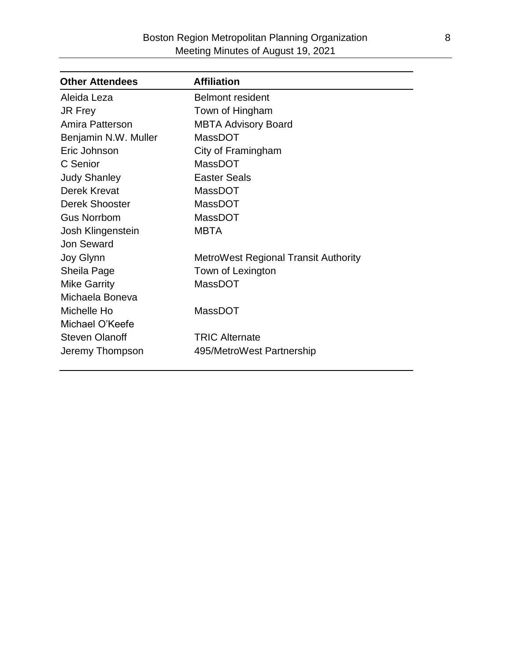| <b>Other Attendees</b> | <b>Affiliation</b>                          |
|------------------------|---------------------------------------------|
| Aleida Leza            | Belmont resident                            |
| JR Frey                | Town of Hingham                             |
| Amira Patterson        | <b>MBTA Advisory Board</b>                  |
| Benjamin N.W. Muller   | MassDOT                                     |
| Eric Johnson           | City of Framingham                          |
| C Senior               | <b>MassDOT</b>                              |
| <b>Judy Shanley</b>    | <b>Easter Seals</b>                         |
| Derek Krevat           | MassDOT                                     |
| Derek Shooster         | <b>MassDOT</b>                              |
| <b>Gus Norrbom</b>     | MassDOT                                     |
| Josh Klingenstein      | <b>MBTA</b>                                 |
| Jon Seward             |                                             |
| Joy Glynn              | <b>MetroWest Regional Transit Authority</b> |
| Sheila Page            | Town of Lexington                           |
| <b>Mike Garrity</b>    | <b>MassDOT</b>                              |
| Michaela Boneva        |                                             |
| Michelle Ho            | <b>MassDOT</b>                              |
| Michael O'Keefe        |                                             |
| <b>Steven Olanoff</b>  | <b>TRIC Alternate</b>                       |
| Jeremy Thompson        | 495/MetroWest Partnership                   |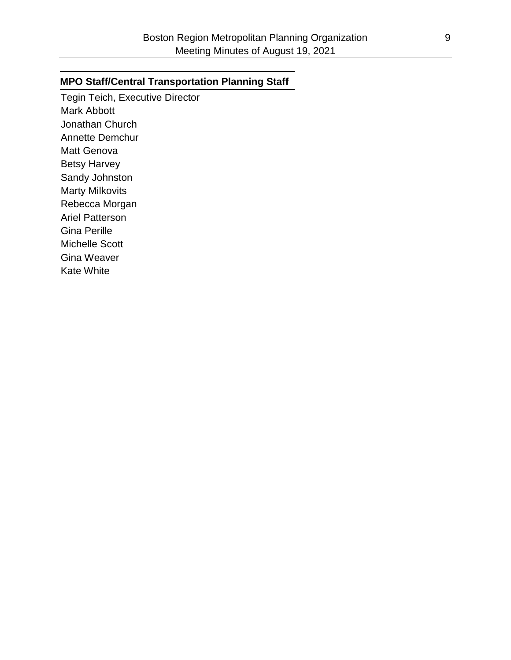#### **MPO Staff/Central Transportation Planning Staff**

Tegin Teich, Executive Director Mark Abbott Jonathan Church Annette Demchur Matt Genova Betsy Harvey Sandy Johnston Marty Milkovits Rebecca Morgan Ariel Patterson Gina Perille Michelle Scott Gina Weaver Kate White